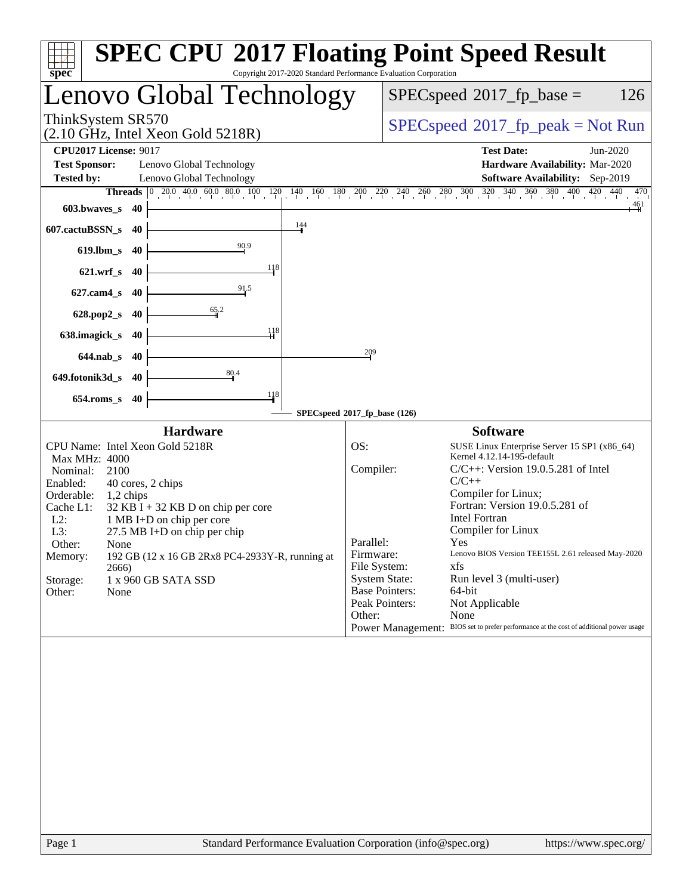| Copyright 2017-2020 Standard Performance Evaluation Corporation<br>spec <sup>®</sup>                                                                                                                                                                                                                                                                                                                              | <b>SPEC CPU®2017 Floating Point Speed Result</b>                                                                                                                                                                                                                                                                                                                                                                                                                                                                                                                                                               |
|-------------------------------------------------------------------------------------------------------------------------------------------------------------------------------------------------------------------------------------------------------------------------------------------------------------------------------------------------------------------------------------------------------------------|----------------------------------------------------------------------------------------------------------------------------------------------------------------------------------------------------------------------------------------------------------------------------------------------------------------------------------------------------------------------------------------------------------------------------------------------------------------------------------------------------------------------------------------------------------------------------------------------------------------|
| Lenovo Global Technology                                                                                                                                                                                                                                                                                                                                                                                          | 126<br>$SPEC speed^{\circ}2017$ _fp_base =                                                                                                                                                                                                                                                                                                                                                                                                                                                                                                                                                                     |
| ThinkSystem SR570<br>$(2.10 \text{ GHz}, \text{Intel Xeon Gold } 5218\text{R})$                                                                                                                                                                                                                                                                                                                                   | $SPEC speed^{\circ}2017\_fp\_peak = Not Run$                                                                                                                                                                                                                                                                                                                                                                                                                                                                                                                                                                   |
| <b>CPU2017 License: 9017</b><br><b>Test Sponsor:</b><br>Lenovo Global Technology<br><b>Tested by:</b><br>Lenovo Global Technology                                                                                                                                                                                                                                                                                 | <b>Test Date:</b><br>Jun-2020<br>Hardware Availability: Mar-2020<br>Software Availability: Sep-2019                                                                                                                                                                                                                                                                                                                                                                                                                                                                                                            |
| 603.bwaves_s<br>40                                                                                                                                                                                                                                                                                                                                                                                                | <b>Threads</b> $\begin{bmatrix} 0 & 20 & 0 & 40 & 0 & 80 & 10 & 120 \end{bmatrix}$ $\begin{bmatrix} 120 & 140 & 160 & 180 & 200 & 220 & 240 & 260 & 280 & 300 & 320 & 340 & 360 & 380 & 400 & 420 & 440 \end{bmatrix}$<br>470<br>$\frac{461}{4}$                                                                                                                                                                                                                                                                                                                                                               |
| 144<br>607.cactuBSSN_s<br>40                                                                                                                                                                                                                                                                                                                                                                                      |                                                                                                                                                                                                                                                                                                                                                                                                                                                                                                                                                                                                                |
| 90.9<br>$619$ .lbm_s<br>40                                                                                                                                                                                                                                                                                                                                                                                        |                                                                                                                                                                                                                                                                                                                                                                                                                                                                                                                                                                                                                |
| -118<br>$621.wrf$ s<br>40<br>91.5                                                                                                                                                                                                                                                                                                                                                                                 |                                                                                                                                                                                                                                                                                                                                                                                                                                                                                                                                                                                                                |
| $627$ .cam $4$ <sub>S</sub><br>40<br>65.2<br>628.pop2_s<br>40                                                                                                                                                                                                                                                                                                                                                     |                                                                                                                                                                                                                                                                                                                                                                                                                                                                                                                                                                                                                |
| 118<br>638.imagick_s<br>40                                                                                                                                                                                                                                                                                                                                                                                        |                                                                                                                                                                                                                                                                                                                                                                                                                                                                                                                                                                                                                |
| $644$ .nab_s<br>40                                                                                                                                                                                                                                                                                                                                                                                                | 209                                                                                                                                                                                                                                                                                                                                                                                                                                                                                                                                                                                                            |
| 80.4<br>649.fotonik3d_s<br>40                                                                                                                                                                                                                                                                                                                                                                                     |                                                                                                                                                                                                                                                                                                                                                                                                                                                                                                                                                                                                                |
| $\frac{118}{1}$<br>$654$ .roms_s<br>40                                                                                                                                                                                                                                                                                                                                                                            | SPECspeed®2017_fp_base (126)                                                                                                                                                                                                                                                                                                                                                                                                                                                                                                                                                                                   |
| <b>Hardware</b>                                                                                                                                                                                                                                                                                                                                                                                                   | <b>Software</b>                                                                                                                                                                                                                                                                                                                                                                                                                                                                                                                                                                                                |
| CPU Name: Intel Xeon Gold 5218R<br>Max MHz: 4000<br>Nominal:<br>2100<br>Enabled:<br>40 cores, 2 chips<br>Orderable:<br>1,2 chips<br>Cache L1:<br>$32$ KB I + 32 KB D on chip per core<br>$L2$ :<br>1 MB I+D on chip per core<br>27.5 MB I+D on chip per chip<br>L3:<br>Other:<br>None<br>192 GB (12 x 16 GB 2Rx8 PC4-2933Y-R, running at<br>Memory:<br>2666)<br>Storage:<br>1 x 960 GB SATA SSD<br>Other:<br>None | OS:<br>SUSE Linux Enterprise Server 15 SP1 (x86_64)<br>Kernel 4.12.14-195-default<br>Compiler:<br>$C/C++$ : Version 19.0.5.281 of Intel<br>$C/C++$<br>Compiler for Linux;<br>Fortran: Version 19.0.5.281 of<br><b>Intel Fortran</b><br>Compiler for Linux<br>Parallel:<br>Yes<br>Lenovo BIOS Version TEE155L 2.61 released May-2020<br>Firmware:<br>File System:<br>xfs<br><b>System State:</b><br>Run level 3 (multi-user)<br><b>Base Pointers:</b><br>64-bit<br>Peak Pointers:<br>Not Applicable<br>Other:<br>None<br>Power Management: BIOS set to prefer performance at the cost of additional power usage |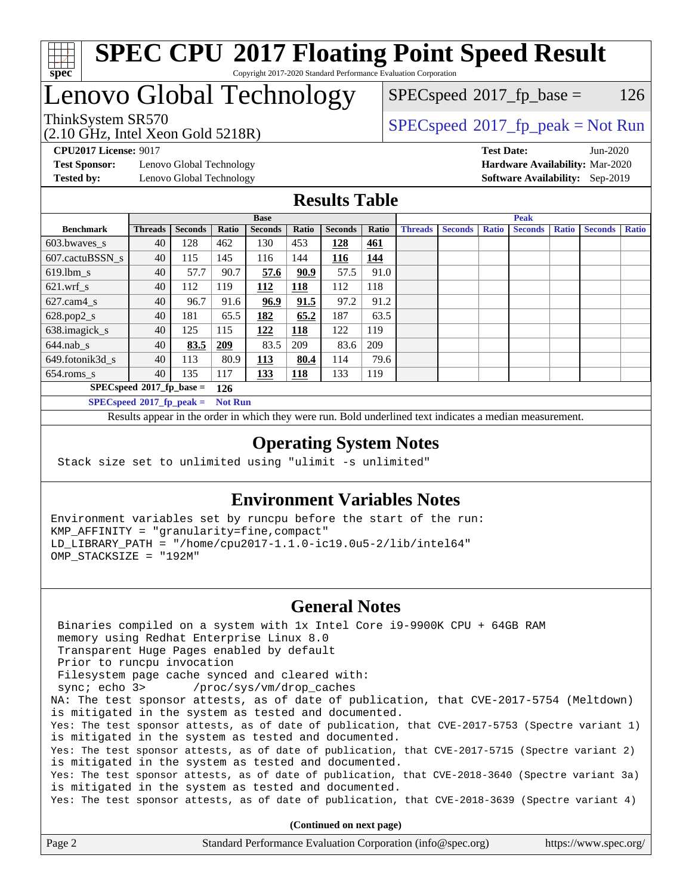

# Lenovo Global Technology

(2.10 GHz, Intel Xeon Gold 5218R)

ThinkSystem SR570<br>  $SPEC speed^{\circ}2017$ \_fp\_peak = Not Run  $SPECspeed^{\circledcirc}2017_fp\_base = 126$  $SPECspeed^{\circledcirc}2017_fp\_base = 126$ 

**[Test Sponsor:](http://www.spec.org/auto/cpu2017/Docs/result-fields.html#TestSponsor)** Lenovo Global Technology **[Hardware Availability:](http://www.spec.org/auto/cpu2017/Docs/result-fields.html#HardwareAvailability)** Mar-2020 **[Tested by:](http://www.spec.org/auto/cpu2017/Docs/result-fields.html#Testedby)** Lenovo Global Technology **[Software Availability:](http://www.spec.org/auto/cpu2017/Docs/result-fields.html#SoftwareAvailability)** Sep-2019

**[CPU2017 License:](http://www.spec.org/auto/cpu2017/Docs/result-fields.html#CPU2017License)** 9017 **[Test Date:](http://www.spec.org/auto/cpu2017/Docs/result-fields.html#TestDate)** Jun-2020

### **[Results Table](http://www.spec.org/auto/cpu2017/Docs/result-fields.html#ResultsTable)**

|                                    | <b>Base</b>    |                |                |                | <b>Peak</b> |                |            |                |                |              |                |              |                |              |
|------------------------------------|----------------|----------------|----------------|----------------|-------------|----------------|------------|----------------|----------------|--------------|----------------|--------------|----------------|--------------|
| <b>Benchmark</b>                   | <b>Threads</b> | <b>Seconds</b> | Ratio          | <b>Seconds</b> | Ratio       | <b>Seconds</b> | Ratio      | <b>Threads</b> | <b>Seconds</b> | <b>Ratio</b> | <b>Seconds</b> | <b>Ratio</b> | <b>Seconds</b> | <b>Ratio</b> |
| 603.bwayes s                       | 40             | 128            | 462            | 130            | 453         | 128            | <u>461</u> |                |                |              |                |              |                |              |
| 607.cactuBSSN s                    | 40             | 115            | 145            | 116            | 144         | 116            | 144        |                |                |              |                |              |                |              |
| $619.$ lbm s                       | 40             | 57.7           | 90.7           | 57.6           | 90.9        | 57.5           | 91.0       |                |                |              |                |              |                |              |
| $621.wrf$ s                        | 40             | 112            | 119            | 112            | 118         | 112            | 118        |                |                |              |                |              |                |              |
| $627$ .cam4 s                      | 40             | 96.7           | 91.6           | 96.9           | 91.5        | 97.2           | 91.2       |                |                |              |                |              |                |              |
| $628.pop2_s$                       | 40             | 181            | 65.5           | 182            | 65.2        | 187            | 63.5       |                |                |              |                |              |                |              |
| 638.imagick_s                      | 40             | 125            | 115            | 122            | 118         | 122            | 119        |                |                |              |                |              |                |              |
| $644$ .nab s                       | 40             | 83.5           | <u>209</u>     | 83.5           | 209         | 83.6           | 209        |                |                |              |                |              |                |              |
| 649.fotonik3d s                    | 40             | 113            | 80.9           | <u> 113</u>    | 80.4        | 114            | 79.6       |                |                |              |                |              |                |              |
| $654$ .roms s                      | 40             | 135            | 117            | 133            | <b>118</b>  | 133            | 119        |                |                |              |                |              |                |              |
| $SPECspeed*2017_fp\_base =$<br>126 |                |                |                |                |             |                |            |                |                |              |                |              |                |              |
| $SPECspeed*2017_fp\_peak =$        |                |                | <b>Not Run</b> |                |             |                |            |                |                |              |                |              |                |              |

Results appear in the [order in which they were run.](http://www.spec.org/auto/cpu2017/Docs/result-fields.html#RunOrder) Bold underlined text [indicates a median measurement](http://www.spec.org/auto/cpu2017/Docs/result-fields.html#Median).

### **[Operating System Notes](http://www.spec.org/auto/cpu2017/Docs/result-fields.html#OperatingSystemNotes)**

Stack size set to unlimited using "ulimit -s unlimited"

### **[Environment Variables Notes](http://www.spec.org/auto/cpu2017/Docs/result-fields.html#EnvironmentVariablesNotes)**

Environment variables set by runcpu before the start of the run: KMP\_AFFINITY = "granularity=fine,compact" LD\_LIBRARY\_PATH = "/home/cpu2017-1.1.0-ic19.0u5-2/lib/intel64" OMP\_STACKSIZE = "192M"

### **[General Notes](http://www.spec.org/auto/cpu2017/Docs/result-fields.html#GeneralNotes)**

 Binaries compiled on a system with 1x Intel Core i9-9900K CPU + 64GB RAM memory using Redhat Enterprise Linux 8.0 Transparent Huge Pages enabled by default Prior to runcpu invocation Filesystem page cache synced and cleared with: sync; echo 3> /proc/sys/vm/drop\_caches NA: The test sponsor attests, as of date of publication, that CVE-2017-5754 (Meltdown) is mitigated in the system as tested and documented. Yes: The test sponsor attests, as of date of publication, that CVE-2017-5753 (Spectre variant 1) is mitigated in the system as tested and documented. Yes: The test sponsor attests, as of date of publication, that CVE-2017-5715 (Spectre variant 2) is mitigated in the system as tested and documented. Yes: The test sponsor attests, as of date of publication, that CVE-2018-3640 (Spectre variant 3a) is mitigated in the system as tested and documented. Yes: The test sponsor attests, as of date of publication, that CVE-2018-3639 (Spectre variant 4)

**(Continued on next page)**

| Page 2 | Standard Performance Evaluation Corporation (info@spec.org) | https://www.spec.org/ |
|--------|-------------------------------------------------------------|-----------------------|
|--------|-------------------------------------------------------------|-----------------------|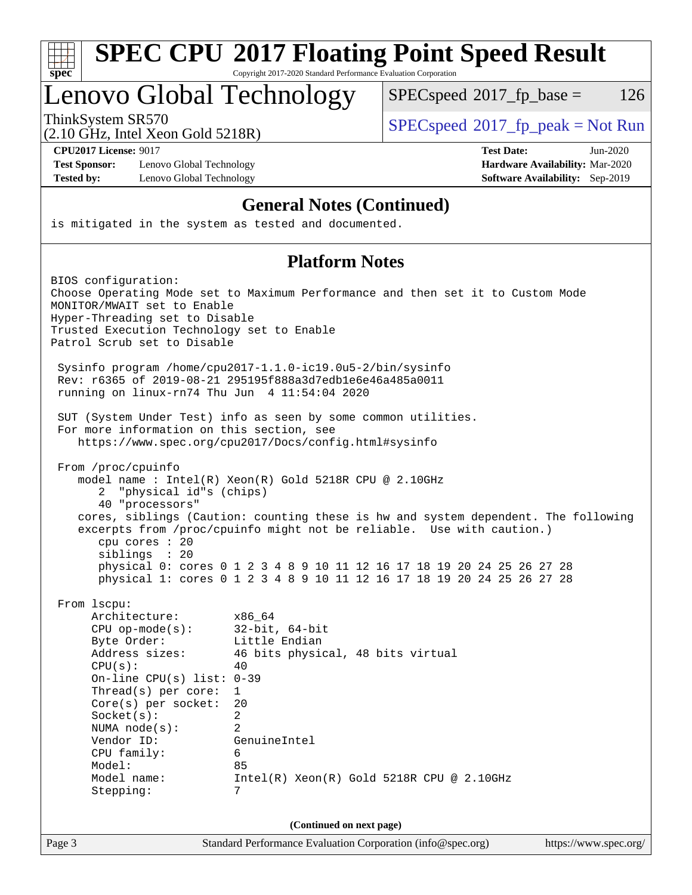| S<br>E<br>0<br>ċ. |  |  |  |  |  |
|-------------------|--|--|--|--|--|

# Lenovo Global Technology

 $SPECspeed^{\circledcirc}2017_fp\_base = 126$  $SPECspeed^{\circledcirc}2017_fp\_base = 126$ 

(2.10 GHz, Intel Xeon Gold 5218R)

ThinkSystem SR570<br>  $SPEC speed^{\circ}2017$  [p\_peak = Not Run

**[Test Sponsor:](http://www.spec.org/auto/cpu2017/Docs/result-fields.html#TestSponsor)** Lenovo Global Technology **[Hardware Availability:](http://www.spec.org/auto/cpu2017/Docs/result-fields.html#HardwareAvailability)** Mar-2020 **[Tested by:](http://www.spec.org/auto/cpu2017/Docs/result-fields.html#Testedby)** Lenovo Global Technology **[Software Availability:](http://www.spec.org/auto/cpu2017/Docs/result-fields.html#SoftwareAvailability)** Sep-2019

**[CPU2017 License:](http://www.spec.org/auto/cpu2017/Docs/result-fields.html#CPU2017License)** 9017 **[Test Date:](http://www.spec.org/auto/cpu2017/Docs/result-fields.html#TestDate)** Jun-2020

### **[General Notes \(Continued\)](http://www.spec.org/auto/cpu2017/Docs/result-fields.html#GeneralNotes)**

is mitigated in the system as tested and documented.

### **[Platform Notes](http://www.spec.org/auto/cpu2017/Docs/result-fields.html#PlatformNotes)**

Page 3 Standard Performance Evaluation Corporation [\(info@spec.org\)](mailto:info@spec.org) <https://www.spec.org/> BIOS configuration: Choose Operating Mode set to Maximum Performance and then set it to Custom Mode MONITOR/MWAIT set to Enable Hyper-Threading set to Disable Trusted Execution Technology set to Enable Patrol Scrub set to Disable Sysinfo program /home/cpu2017-1.1.0-ic19.0u5-2/bin/sysinfo Rev: r6365 of 2019-08-21 295195f888a3d7edb1e6e46a485a0011 running on linux-rn74 Thu Jun 4 11:54:04 2020 SUT (System Under Test) info as seen by some common utilities. For more information on this section, see <https://www.spec.org/cpu2017/Docs/config.html#sysinfo> From /proc/cpuinfo model name : Intel(R) Xeon(R) Gold 5218R CPU @ 2.10GHz 2 "physical id"s (chips) 40 "processors" cores, siblings (Caution: counting these is hw and system dependent. The following excerpts from /proc/cpuinfo might not be reliable. Use with caution.) cpu cores : 20 siblings : 20 physical 0: cores 0 1 2 3 4 8 9 10 11 12 16 17 18 19 20 24 25 26 27 28 physical 1: cores 0 1 2 3 4 8 9 10 11 12 16 17 18 19 20 24 25 26 27 28 From lscpu: Architecture: x86\_64 CPU op-mode(s): 32-bit, 64-bit Byte Order: Little Endian Address sizes: 46 bits physical, 48 bits virtual  $CPU(s):$  40 On-line CPU(s) list: 0-39 Thread(s) per core: 1 Core(s) per socket: 20 Socket(s): 2 NUMA node(s): 2 Vendor ID: GenuineIntel CPU family: 6 Model: 85 Model name: Intel(R) Xeon(R) Gold 5218R CPU @ 2.10GHz Stepping: 7 **(Continued on next page)**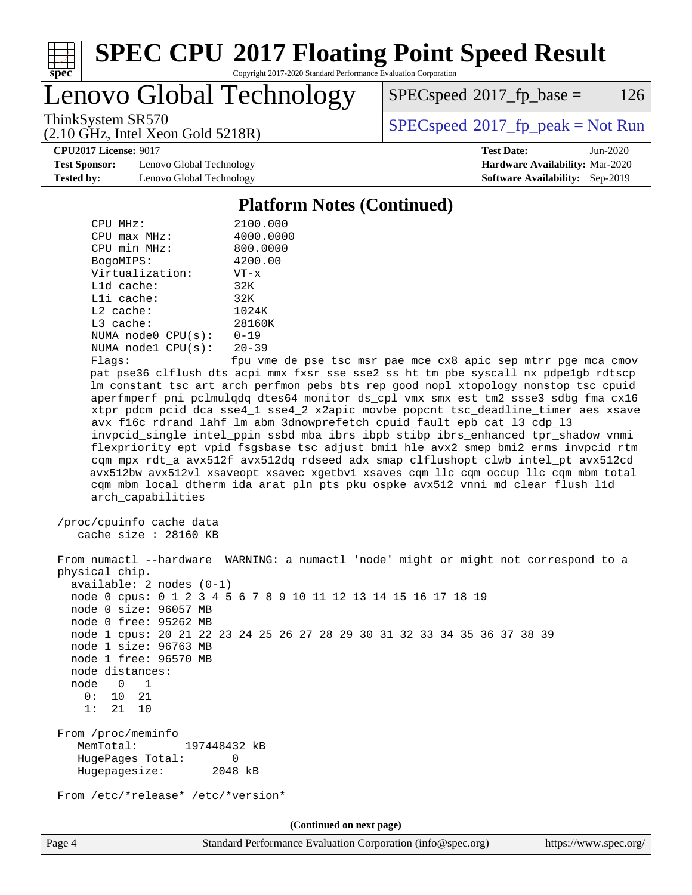

# **[SPEC CPU](http://www.spec.org/auto/cpu2017/Docs/result-fields.html#SPECCPU2017FloatingPointSpeedResult)[2017 Floating Point Speed Result](http://www.spec.org/auto/cpu2017/Docs/result-fields.html#SPECCPU2017FloatingPointSpeedResult)**

Copyright 2017-2020 Standard Performance Evaluation Corporation

Lenovo Global Technology

 $SPEC speed^{\circ}2017\_fp\_base = 126$ 

(2.10 GHz, Intel Xeon Gold 5218R)

ThinkSystem SR570<br>  $SPEC speed^{\circ}2017$  [p\_peak = Not Run

**[CPU2017 License:](http://www.spec.org/auto/cpu2017/Docs/result-fields.html#CPU2017License)** 9017 **[Test Date:](http://www.spec.org/auto/cpu2017/Docs/result-fields.html#TestDate)** Jun-2020

**[Test Sponsor:](http://www.spec.org/auto/cpu2017/Docs/result-fields.html#TestSponsor)** Lenovo Global Technology **[Hardware Availability:](http://www.spec.org/auto/cpu2017/Docs/result-fields.html#HardwareAvailability)** Mar-2020 **[Tested by:](http://www.spec.org/auto/cpu2017/Docs/result-fields.html#Testedby)** Lenovo Global Technology **[Software Availability:](http://www.spec.org/auto/cpu2017/Docs/result-fields.html#SoftwareAvailability)** Sep-2019

**[Platform Notes \(Continued\)](http://www.spec.org/auto/cpu2017/Docs/result-fields.html#PlatformNotes)**

| CPU MHz:           | 2100.000  |
|--------------------|-----------|
| $CPU$ max $MHz$ :  | 4000.0000 |
| CPU min MHz:       | 800.0000  |
| BogoMIPS:          | 4200.00   |
| Virtualization:    | $VT - x$  |
| L1d cache:         | 32K       |
| $L1i$ cache:       | 32K       |
| $L2$ cache:        | 1024K     |
| $L3$ cache:        | 28160K    |
| NUMA node0 CPU(s): | $0 - 19$  |
| NUMA node1 CPU(s): | $20 - 39$ |
|                    |           |

 Flags: fpu vme de pse tsc msr pae mce cx8 apic sep mtrr pge mca cmov pat pse36 clflush dts acpi mmx fxsr sse sse2 ss ht tm pbe syscall nx pdpe1gb rdtscp lm constant\_tsc art arch\_perfmon pebs bts rep\_good nopl xtopology nonstop\_tsc cpuid aperfmperf pni pclmulqdq dtes64 monitor ds\_cpl vmx smx est tm2 ssse3 sdbg fma cx16 xtpr pdcm pcid dca sse4\_1 sse4\_2 x2apic movbe popcnt tsc\_deadline\_timer aes xsave avx f16c rdrand lahf\_lm abm 3dnowprefetch cpuid\_fault epb cat\_l3 cdp\_l3 invpcid\_single intel\_ppin ssbd mba ibrs ibpb stibp ibrs\_enhanced tpr\_shadow vnmi flexpriority ept vpid fsgsbase tsc\_adjust bmi1 hle avx2 smep bmi2 erms invpcid rtm cqm mpx rdt\_a avx512f avx512dq rdseed adx smap clflushopt clwb intel\_pt avx512cd avx512bw avx512vl xsaveopt xsavec xgetbv1 xsaves cqm\_llc cqm\_occup\_llc cqm\_mbm\_total cqm\_mbm\_local dtherm ida arat pln pts pku ospke avx512\_vnni md\_clear flush\_l1d arch\_capabilities

```
 /proc/cpuinfo cache data
cache size : 28160 KB
```
 From numactl --hardware WARNING: a numactl 'node' might or might not correspond to a physical chip. available: 2 nodes (0-1) node 0 cpus: 0 1 2 3 4 5 6 7 8 9 10 11 12 13 14 15 16 17 18 19 node 0 size: 96057 MB node 0 free: 95262 MB node 1 cpus: 20 21 22 23 24 25 26 27 28 29 30 31 32 33 34 35 36 37 38 39 node 1 size: 96763 MB node 1 free: 96570 MB node distances: node 0 1 0: 10 21 1: 21 10 From /proc/meminfo MemTotal: 197448432 kB HugePages\_Total: 0 Hugepagesize: 2048 kB From /etc/\*release\* /etc/\*version\*

**(Continued on next page)**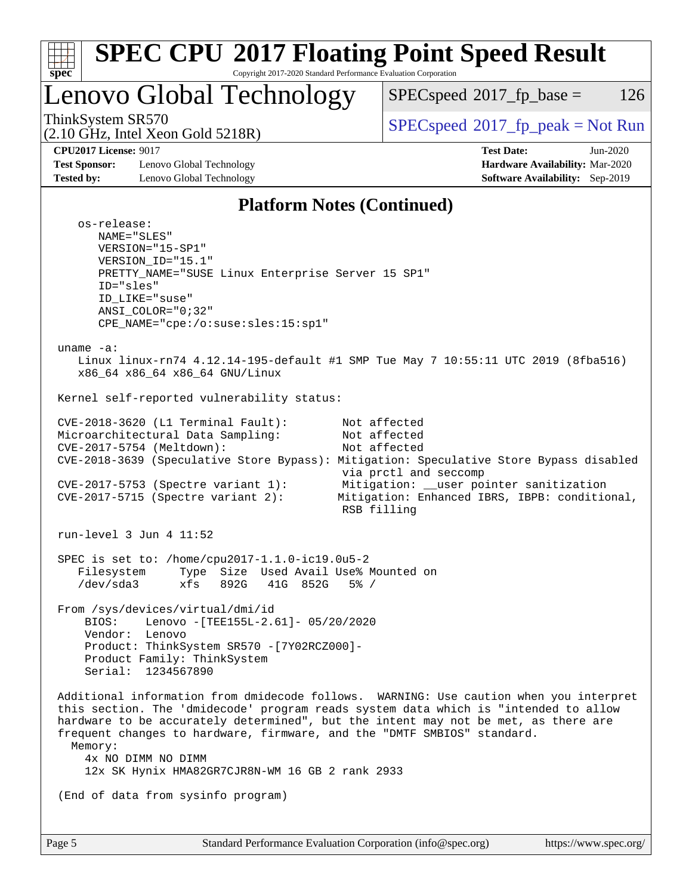| u<br>г |  |  |  |  |  |
|--------|--|--|--|--|--|

Lenovo Global Technology

 $SPECspeed^{\circledcirc}2017_fp\_base = 126$  $SPECspeed^{\circledcirc}2017_fp\_base = 126$ 

(2.10 GHz, Intel Xeon Gold 5218R)

ThinkSystem SR570<br>  $SPEC speed^{\circ}2017$  [p\_peak = Not Run

**[Test Sponsor:](http://www.spec.org/auto/cpu2017/Docs/result-fields.html#TestSponsor)** Lenovo Global Technology **[Hardware Availability:](http://www.spec.org/auto/cpu2017/Docs/result-fields.html#HardwareAvailability)** Mar-2020 **[Tested by:](http://www.spec.org/auto/cpu2017/Docs/result-fields.html#Testedby)** Lenovo Global Technology **[Software Availability:](http://www.spec.org/auto/cpu2017/Docs/result-fields.html#SoftwareAvailability)** Sep-2019

**[CPU2017 License:](http://www.spec.org/auto/cpu2017/Docs/result-fields.html#CPU2017License)** 9017 **[Test Date:](http://www.spec.org/auto/cpu2017/Docs/result-fields.html#TestDate)** Jun-2020

### **[Platform Notes \(Continued\)](http://www.spec.org/auto/cpu2017/Docs/result-fields.html#PlatformNotes)**

 os-release: NAME="SLES" VERSION="15-SP1" VERSION\_ID="15.1" PRETTY\_NAME="SUSE Linux Enterprise Server 15 SP1" ID="sles" ID\_LIKE="suse" ANSI\_COLOR="0;32" CPE\_NAME="cpe:/o:suse:sles:15:sp1" uname -a: Linux linux-rn74 4.12.14-195-default #1 SMP Tue May 7 10:55:11 UTC 2019 (8fba516) x86\_64 x86\_64 x86\_64 GNU/Linux Kernel self-reported vulnerability status: CVE-2018-3620 (L1 Terminal Fault): Not affected Microarchitectural Data Sampling: Not affected CVE-2017-5754 (Meltdown): Not affected CVE-2018-3639 (Speculative Store Bypass): Mitigation: Speculative Store Bypass disabled via prctl and seccomp CVE-2017-5753 (Spectre variant 1): Mitigation: \_\_user pointer sanitization CVE-2017-5715 (Spectre variant 2): Mitigation: Enhanced IBRS, IBPB: conditional, RSB filling run-level 3 Jun 4 11:52 SPEC is set to: /home/cpu2017-1.1.0-ic19.0u5-2 Filesystem Type Size Used Avail Use% Mounted on /dev/sda3 xfs 892G 41G 852G 5% / From /sys/devices/virtual/dmi/id BIOS: Lenovo -[TEE155L-2.61]- 05/20/2020 Vendor: Lenovo Product: ThinkSystem SR570 -[7Y02RCZ000]- Product Family: ThinkSystem Serial: 1234567890 Additional information from dmidecode follows. WARNING: Use caution when you interpret this section. The 'dmidecode' program reads system data which is "intended to allow hardware to be accurately determined", but the intent may not be met, as there are frequent changes to hardware, firmware, and the "DMTF SMBIOS" standard. Memory: 4x NO DIMM NO DIMM 12x SK Hynix HMA82GR7CJR8N-WM 16 GB 2 rank 2933 (End of data from sysinfo program)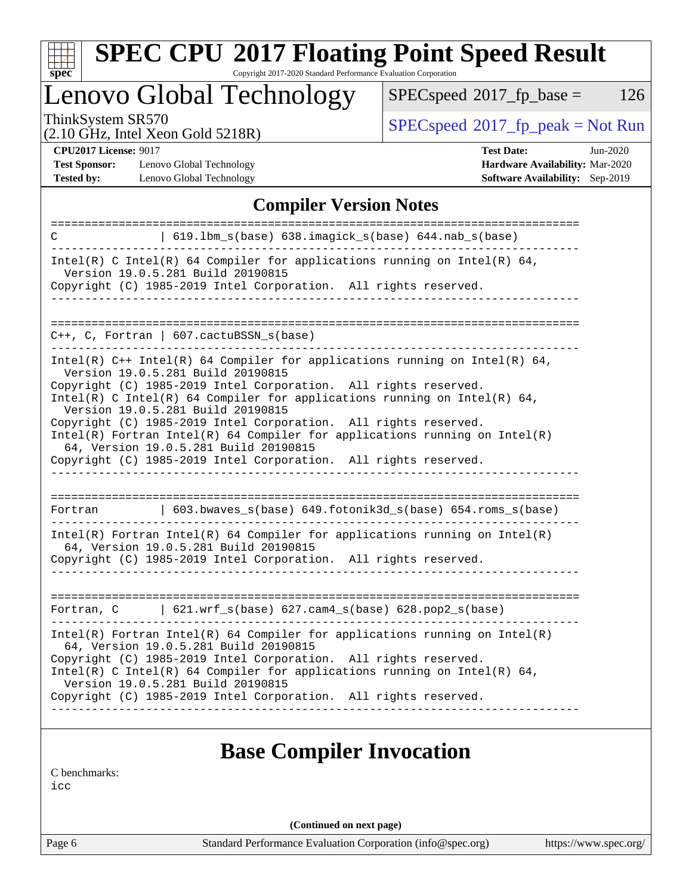

# **[SPEC CPU](http://www.spec.org/auto/cpu2017/Docs/result-fields.html#SPECCPU2017FloatingPointSpeedResult)[2017 Floating Point Speed Result](http://www.spec.org/auto/cpu2017/Docs/result-fields.html#SPECCPU2017FloatingPointSpeedResult)**

Copyright 2017-2020 Standard Performance Evaluation Corporation

Lenovo Global Technology

 $SPECspeed^{\circledcirc}2017_fp\_base = 126$  $SPECspeed^{\circledcirc}2017_fp\_base = 126$ 

(2.10 GHz, Intel Xeon Gold 5218R)

ThinkSystem SR570<br>  $(2.10 \text{ GHz} \text{ Intel } X_{\text{eon}} \text{ Gold } 5218R)$  [SPECspeed](http://www.spec.org/auto/cpu2017/Docs/result-fields.html#SPECspeed2017fppeak)<sup>®</sup>[2017\\_fp\\_peak = N](http://www.spec.org/auto/cpu2017/Docs/result-fields.html#SPECspeed2017fppeak)ot Run

**[CPU2017 License:](http://www.spec.org/auto/cpu2017/Docs/result-fields.html#CPU2017License)** 9017

**[Test Sponsor:](http://www.spec.org/auto/cpu2017/Docs/result-fields.html#TestSponsor)** Lenovo Global Technology **[Tested by:](http://www.spec.org/auto/cpu2017/Docs/result-fields.html#Testedby)** Lenovo Global Technology **[Software Availability:](http://www.spec.org/auto/cpu2017/Docs/result-fields.html#SoftwareAvailability)** Sep-2019

| <b>Test Date:</b>                                                                                                                                                                                                             | Jun-2020 |
|-------------------------------------------------------------------------------------------------------------------------------------------------------------------------------------------------------------------------------|----------|
| <b>Hardware Availability: Mar-2020</b>                                                                                                                                                                                        |          |
| $C_1$ $C_2$ $C_3$ $C_4$ $C_5$ $C_6$ $C_7$ $C_8$ $C_9$ $C_1$ $C_2$ $C_3$ $C_4$ $C_5$ $C_7$ $C_8$ $C_9$ $C_9$ $C_1$ $C_2$ $C_3$ $C_4$ $C_5$ $C_7$ $C_8$ $C_9$ $C_9$ $C_9$ $C_9$ $C_9$ $C_9$ $C_9$ $C_9$ $C_9$ $C_9$ $C_9$ $C_9$ |          |

### **[Compiler Version Notes](http://www.spec.org/auto/cpu2017/Docs/result-fields.html#CompilerVersionNotes)**

| 619.1bm_s(base) 638.imagick_s(base) 644.nab_s(base)<br>C                                                                                                                                                                                                                                                                                                                                                                                                                                                                                                             |
|----------------------------------------------------------------------------------------------------------------------------------------------------------------------------------------------------------------------------------------------------------------------------------------------------------------------------------------------------------------------------------------------------------------------------------------------------------------------------------------------------------------------------------------------------------------------|
| Intel(R) C Intel(R) 64 Compiler for applications running on Intel(R) 64,<br>Version 19.0.5.281 Build 20190815<br>Copyright (C) 1985-2019 Intel Corporation. All rights reserved.                                                                                                                                                                                                                                                                                                                                                                                     |
| C++, C, Fortran   607.cactuBSSN s(base)                                                                                                                                                                                                                                                                                                                                                                                                                                                                                                                              |
| Intel(R) $C++$ Intel(R) 64 Compiler for applications running on Intel(R) 64,<br>Version 19.0.5.281 Build 20190815<br>Copyright (C) 1985-2019 Intel Corporation. All rights reserved.<br>Intel(R) C Intel(R) 64 Compiler for applications running on Intel(R) 64,<br>Version 19.0.5.281 Build 20190815<br>Copyright (C) 1985-2019 Intel Corporation. All rights reserved.<br>$Intel(R)$ Fortran Intel(R) 64 Compiler for applications running on Intel(R)<br>64, Version 19.0.5.281 Build 20190815<br>Copyright (C) 1985-2019 Intel Corporation. All rights reserved. |
| 603.bwaves_s(base) 649.fotonik3d_s(base) 654.roms_s(base)<br>Fortran                                                                                                                                                                                                                                                                                                                                                                                                                                                                                                 |
| $Intel(R)$ Fortran Intel(R) 64 Compiler for applications running on Intel(R)<br>64, Version 19.0.5.281 Build 20190815<br>Copyright (C) 1985-2019 Intel Corporation. All rights reserved.                                                                                                                                                                                                                                                                                                                                                                             |
| $\vert$ 621.wrf_s(base) 627.cam4_s(base) 628.pop2_s(base)<br>Fortran, C                                                                                                                                                                                                                                                                                                                                                                                                                                                                                              |
| $Intel(R)$ Fortran Intel(R) 64 Compiler for applications running on Intel(R)<br>64, Version 19.0.5.281 Build 20190815<br>Copyright (C) 1985-2019 Intel Corporation. All rights reserved.<br>$Intel(R)$ C Intel(R) 64 Compiler for applications running on Intel(R) 64,<br>Version 19.0.5.281 Build 20190815<br>Copyright (C) 1985-2019 Intel Corporation. All rights reserved.                                                                                                                                                                                       |
| <b>Base Compiler Invocation</b>                                                                                                                                                                                                                                                                                                                                                                                                                                                                                                                                      |

[C benchmarks](http://www.spec.org/auto/cpu2017/Docs/result-fields.html#Cbenchmarks):

[icc](http://www.spec.org/cpu2017/results/res2020q2/cpu2017-20200608-22743.flags.html#user_CCbase_intel_icc_66fc1ee009f7361af1fbd72ca7dcefbb700085f36577c54f309893dd4ec40d12360134090235512931783d35fd58c0460139e722d5067c5574d8eaf2b3e37e92)

**(Continued on next page)**

Page 6 Standard Performance Evaluation Corporation [\(info@spec.org\)](mailto:info@spec.org) <https://www.spec.org/>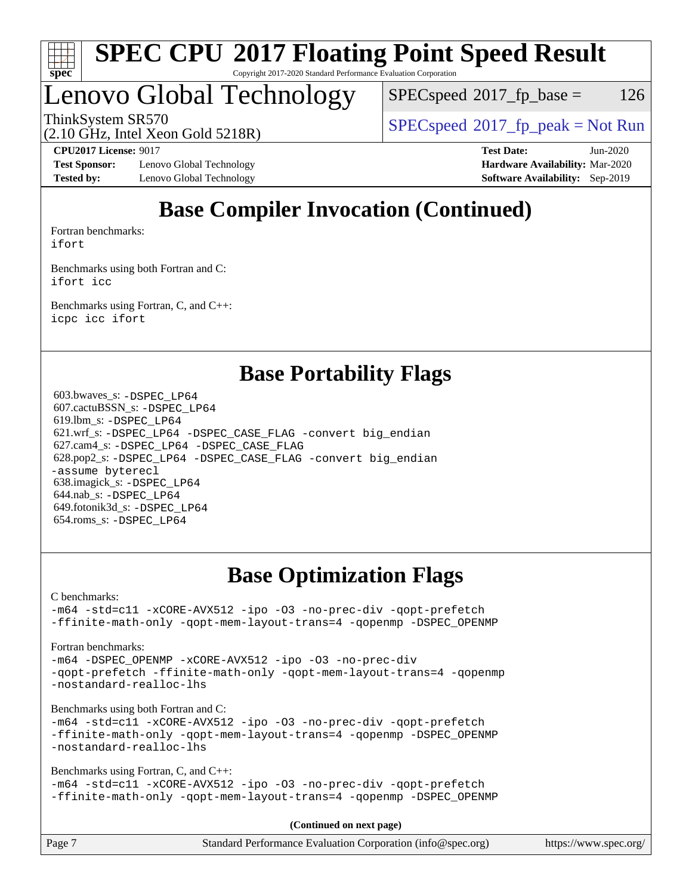

# Lenovo Global Technology

 $SPEC speed^{\circ}2017\_fp\_base = 126$ 

ThinkSystem SR570<br>  $SPEC speed^{\circ}2017$  [p\_peak = Not Run

(2.10 GHz, Intel Xeon Gold 5218R)

**[Test Sponsor:](http://www.spec.org/auto/cpu2017/Docs/result-fields.html#TestSponsor)** Lenovo Global Technology **[Hardware Availability:](http://www.spec.org/auto/cpu2017/Docs/result-fields.html#HardwareAvailability)** Mar-2020 **[Tested by:](http://www.spec.org/auto/cpu2017/Docs/result-fields.html#Testedby)** Lenovo Global Technology **[Software Availability:](http://www.spec.org/auto/cpu2017/Docs/result-fields.html#SoftwareAvailability)** Sep-2019

**[CPU2017 License:](http://www.spec.org/auto/cpu2017/Docs/result-fields.html#CPU2017License)** 9017 **[Test Date:](http://www.spec.org/auto/cpu2017/Docs/result-fields.html#TestDate)** Jun-2020

# **[Base Compiler Invocation \(Continued\)](http://www.spec.org/auto/cpu2017/Docs/result-fields.html#BaseCompilerInvocation)**

[Fortran benchmarks](http://www.spec.org/auto/cpu2017/Docs/result-fields.html#Fortranbenchmarks): [ifort](http://www.spec.org/cpu2017/results/res2020q2/cpu2017-20200608-22743.flags.html#user_FCbase_intel_ifort_8111460550e3ca792625aed983ce982f94888b8b503583aa7ba2b8303487b4d8a21a13e7191a45c5fd58ff318f48f9492884d4413fa793fd88dd292cad7027ca)

[Benchmarks using both Fortran and C](http://www.spec.org/auto/cpu2017/Docs/result-fields.html#BenchmarksusingbothFortranandC): [ifort](http://www.spec.org/cpu2017/results/res2020q2/cpu2017-20200608-22743.flags.html#user_CC_FCbase_intel_ifort_8111460550e3ca792625aed983ce982f94888b8b503583aa7ba2b8303487b4d8a21a13e7191a45c5fd58ff318f48f9492884d4413fa793fd88dd292cad7027ca) [icc](http://www.spec.org/cpu2017/results/res2020q2/cpu2017-20200608-22743.flags.html#user_CC_FCbase_intel_icc_66fc1ee009f7361af1fbd72ca7dcefbb700085f36577c54f309893dd4ec40d12360134090235512931783d35fd58c0460139e722d5067c5574d8eaf2b3e37e92)

[Benchmarks using Fortran, C, and C++:](http://www.spec.org/auto/cpu2017/Docs/result-fields.html#BenchmarksusingFortranCandCXX) [icpc](http://www.spec.org/cpu2017/results/res2020q2/cpu2017-20200608-22743.flags.html#user_CC_CXX_FCbase_intel_icpc_c510b6838c7f56d33e37e94d029a35b4a7bccf4766a728ee175e80a419847e808290a9b78be685c44ab727ea267ec2f070ec5dc83b407c0218cded6866a35d07) [icc](http://www.spec.org/cpu2017/results/res2020q2/cpu2017-20200608-22743.flags.html#user_CC_CXX_FCbase_intel_icc_66fc1ee009f7361af1fbd72ca7dcefbb700085f36577c54f309893dd4ec40d12360134090235512931783d35fd58c0460139e722d5067c5574d8eaf2b3e37e92) [ifort](http://www.spec.org/cpu2017/results/res2020q2/cpu2017-20200608-22743.flags.html#user_CC_CXX_FCbase_intel_ifort_8111460550e3ca792625aed983ce982f94888b8b503583aa7ba2b8303487b4d8a21a13e7191a45c5fd58ff318f48f9492884d4413fa793fd88dd292cad7027ca)

### **[Base Portability Flags](http://www.spec.org/auto/cpu2017/Docs/result-fields.html#BasePortabilityFlags)**

 603.bwaves\_s: [-DSPEC\\_LP64](http://www.spec.org/cpu2017/results/res2020q2/cpu2017-20200608-22743.flags.html#suite_basePORTABILITY603_bwaves_s_DSPEC_LP64) 607.cactuBSSN\_s: [-DSPEC\\_LP64](http://www.spec.org/cpu2017/results/res2020q2/cpu2017-20200608-22743.flags.html#suite_basePORTABILITY607_cactuBSSN_s_DSPEC_LP64) 619.lbm\_s: [-DSPEC\\_LP64](http://www.spec.org/cpu2017/results/res2020q2/cpu2017-20200608-22743.flags.html#suite_basePORTABILITY619_lbm_s_DSPEC_LP64) 621.wrf\_s: [-DSPEC\\_LP64](http://www.spec.org/cpu2017/results/res2020q2/cpu2017-20200608-22743.flags.html#suite_basePORTABILITY621_wrf_s_DSPEC_LP64) [-DSPEC\\_CASE\\_FLAG](http://www.spec.org/cpu2017/results/res2020q2/cpu2017-20200608-22743.flags.html#b621.wrf_s_baseCPORTABILITY_DSPEC_CASE_FLAG) [-convert big\\_endian](http://www.spec.org/cpu2017/results/res2020q2/cpu2017-20200608-22743.flags.html#user_baseFPORTABILITY621_wrf_s_convert_big_endian_c3194028bc08c63ac5d04de18c48ce6d347e4e562e8892b8bdbdc0214820426deb8554edfa529a3fb25a586e65a3d812c835984020483e7e73212c4d31a38223) 627.cam4\_s: [-DSPEC\\_LP64](http://www.spec.org/cpu2017/results/res2020q2/cpu2017-20200608-22743.flags.html#suite_basePORTABILITY627_cam4_s_DSPEC_LP64) [-DSPEC\\_CASE\\_FLAG](http://www.spec.org/cpu2017/results/res2020q2/cpu2017-20200608-22743.flags.html#b627.cam4_s_baseCPORTABILITY_DSPEC_CASE_FLAG) 628.pop2\_s: [-DSPEC\\_LP64](http://www.spec.org/cpu2017/results/res2020q2/cpu2017-20200608-22743.flags.html#suite_basePORTABILITY628_pop2_s_DSPEC_LP64) [-DSPEC\\_CASE\\_FLAG](http://www.spec.org/cpu2017/results/res2020q2/cpu2017-20200608-22743.flags.html#b628.pop2_s_baseCPORTABILITY_DSPEC_CASE_FLAG) [-convert big\\_endian](http://www.spec.org/cpu2017/results/res2020q2/cpu2017-20200608-22743.flags.html#user_baseFPORTABILITY628_pop2_s_convert_big_endian_c3194028bc08c63ac5d04de18c48ce6d347e4e562e8892b8bdbdc0214820426deb8554edfa529a3fb25a586e65a3d812c835984020483e7e73212c4d31a38223) [-assume byterecl](http://www.spec.org/cpu2017/results/res2020q2/cpu2017-20200608-22743.flags.html#user_baseFPORTABILITY628_pop2_s_assume_byterecl_7e47d18b9513cf18525430bbf0f2177aa9bf368bc7a059c09b2c06a34b53bd3447c950d3f8d6c70e3faf3a05c8557d66a5798b567902e8849adc142926523472) 638.imagick\_s: [-DSPEC\\_LP64](http://www.spec.org/cpu2017/results/res2020q2/cpu2017-20200608-22743.flags.html#suite_basePORTABILITY638_imagick_s_DSPEC_LP64) 644.nab\_s: [-DSPEC\\_LP64](http://www.spec.org/cpu2017/results/res2020q2/cpu2017-20200608-22743.flags.html#suite_basePORTABILITY644_nab_s_DSPEC_LP64) 649.fotonik3d\_s: [-DSPEC\\_LP64](http://www.spec.org/cpu2017/results/res2020q2/cpu2017-20200608-22743.flags.html#suite_basePORTABILITY649_fotonik3d_s_DSPEC_LP64) 654.roms\_s: [-DSPEC\\_LP64](http://www.spec.org/cpu2017/results/res2020q2/cpu2017-20200608-22743.flags.html#suite_basePORTABILITY654_roms_s_DSPEC_LP64)

# **[Base Optimization Flags](http://www.spec.org/auto/cpu2017/Docs/result-fields.html#BaseOptimizationFlags)**

[C benchmarks](http://www.spec.org/auto/cpu2017/Docs/result-fields.html#Cbenchmarks):

[-m64](http://www.spec.org/cpu2017/results/res2020q2/cpu2017-20200608-22743.flags.html#user_CCbase_m64-icc) [-std=c11](http://www.spec.org/cpu2017/results/res2020q2/cpu2017-20200608-22743.flags.html#user_CCbase_std-icc-std_0e1c27790398a4642dfca32ffe6c27b5796f9c2d2676156f2e42c9c44eaad0c049b1cdb667a270c34d979996257aeb8fc440bfb01818dbc9357bd9d174cb8524) [-xCORE-AVX512](http://www.spec.org/cpu2017/results/res2020q2/cpu2017-20200608-22743.flags.html#user_CCbase_f-xCORE-AVX512) [-ipo](http://www.spec.org/cpu2017/results/res2020q2/cpu2017-20200608-22743.flags.html#user_CCbase_f-ipo) [-O3](http://www.spec.org/cpu2017/results/res2020q2/cpu2017-20200608-22743.flags.html#user_CCbase_f-O3) [-no-prec-div](http://www.spec.org/cpu2017/results/res2020q2/cpu2017-20200608-22743.flags.html#user_CCbase_f-no-prec-div) [-qopt-prefetch](http://www.spec.org/cpu2017/results/res2020q2/cpu2017-20200608-22743.flags.html#user_CCbase_f-qopt-prefetch) [-ffinite-math-only](http://www.spec.org/cpu2017/results/res2020q2/cpu2017-20200608-22743.flags.html#user_CCbase_f_finite_math_only_cb91587bd2077682c4b38af759c288ed7c732db004271a9512da14a4f8007909a5f1427ecbf1a0fb78ff2a814402c6114ac565ca162485bbcae155b5e4258871) [-qopt-mem-layout-trans=4](http://www.spec.org/cpu2017/results/res2020q2/cpu2017-20200608-22743.flags.html#user_CCbase_f-qopt-mem-layout-trans_fa39e755916c150a61361b7846f310bcdf6f04e385ef281cadf3647acec3f0ae266d1a1d22d972a7087a248fd4e6ca390a3634700869573d231a252c784941a8) [-qopenmp](http://www.spec.org/cpu2017/results/res2020q2/cpu2017-20200608-22743.flags.html#user_CCbase_qopenmp_16be0c44f24f464004c6784a7acb94aca937f053568ce72f94b139a11c7c168634a55f6653758ddd83bcf7b8463e8028bb0b48b77bcddc6b78d5d95bb1df2967) [-DSPEC\\_OPENMP](http://www.spec.org/cpu2017/results/res2020q2/cpu2017-20200608-22743.flags.html#suite_CCbase_DSPEC_OPENMP)

### [Fortran benchmarks](http://www.spec.org/auto/cpu2017/Docs/result-fields.html#Fortranbenchmarks):

[-m64](http://www.spec.org/cpu2017/results/res2020q2/cpu2017-20200608-22743.flags.html#user_FCbase_m64-icc) -DSPEC OPENMP [-xCORE-AVX512](http://www.spec.org/cpu2017/results/res2020q2/cpu2017-20200608-22743.flags.html#user_FCbase_f-xCORE-AVX512) [-ipo](http://www.spec.org/cpu2017/results/res2020q2/cpu2017-20200608-22743.flags.html#user_FCbase_f-ipo) [-O3](http://www.spec.org/cpu2017/results/res2020q2/cpu2017-20200608-22743.flags.html#user_FCbase_f-O3) [-no-prec-div](http://www.spec.org/cpu2017/results/res2020q2/cpu2017-20200608-22743.flags.html#user_FCbase_f-no-prec-div) [-qopt-prefetch](http://www.spec.org/cpu2017/results/res2020q2/cpu2017-20200608-22743.flags.html#user_FCbase_f-qopt-prefetch) [-ffinite-math-only](http://www.spec.org/cpu2017/results/res2020q2/cpu2017-20200608-22743.flags.html#user_FCbase_f_finite_math_only_cb91587bd2077682c4b38af759c288ed7c732db004271a9512da14a4f8007909a5f1427ecbf1a0fb78ff2a814402c6114ac565ca162485bbcae155b5e4258871) [-qopt-mem-layout-trans=4](http://www.spec.org/cpu2017/results/res2020q2/cpu2017-20200608-22743.flags.html#user_FCbase_f-qopt-mem-layout-trans_fa39e755916c150a61361b7846f310bcdf6f04e385ef281cadf3647acec3f0ae266d1a1d22d972a7087a248fd4e6ca390a3634700869573d231a252c784941a8) [-qopenmp](http://www.spec.org/cpu2017/results/res2020q2/cpu2017-20200608-22743.flags.html#user_FCbase_qopenmp_16be0c44f24f464004c6784a7acb94aca937f053568ce72f94b139a11c7c168634a55f6653758ddd83bcf7b8463e8028bb0b48b77bcddc6b78d5d95bb1df2967) [-nostandard-realloc-lhs](http://www.spec.org/cpu2017/results/res2020q2/cpu2017-20200608-22743.flags.html#user_FCbase_f_2003_std_realloc_82b4557e90729c0f113870c07e44d33d6f5a304b4f63d4c15d2d0f1fab99f5daaed73bdb9275d9ae411527f28b936061aa8b9c8f2d63842963b95c9dd6426b8a)

[Benchmarks using both Fortran and C](http://www.spec.org/auto/cpu2017/Docs/result-fields.html#BenchmarksusingbothFortranandC):

[-m64](http://www.spec.org/cpu2017/results/res2020q2/cpu2017-20200608-22743.flags.html#user_CC_FCbase_m64-icc) [-std=c11](http://www.spec.org/cpu2017/results/res2020q2/cpu2017-20200608-22743.flags.html#user_CC_FCbase_std-icc-std_0e1c27790398a4642dfca32ffe6c27b5796f9c2d2676156f2e42c9c44eaad0c049b1cdb667a270c34d979996257aeb8fc440bfb01818dbc9357bd9d174cb8524) [-xCORE-AVX512](http://www.spec.org/cpu2017/results/res2020q2/cpu2017-20200608-22743.flags.html#user_CC_FCbase_f-xCORE-AVX512) [-ipo](http://www.spec.org/cpu2017/results/res2020q2/cpu2017-20200608-22743.flags.html#user_CC_FCbase_f-ipo) [-O3](http://www.spec.org/cpu2017/results/res2020q2/cpu2017-20200608-22743.flags.html#user_CC_FCbase_f-O3) [-no-prec-div](http://www.spec.org/cpu2017/results/res2020q2/cpu2017-20200608-22743.flags.html#user_CC_FCbase_f-no-prec-div) [-qopt-prefetch](http://www.spec.org/cpu2017/results/res2020q2/cpu2017-20200608-22743.flags.html#user_CC_FCbase_f-qopt-prefetch) [-ffinite-math-only](http://www.spec.org/cpu2017/results/res2020q2/cpu2017-20200608-22743.flags.html#user_CC_FCbase_f_finite_math_only_cb91587bd2077682c4b38af759c288ed7c732db004271a9512da14a4f8007909a5f1427ecbf1a0fb78ff2a814402c6114ac565ca162485bbcae155b5e4258871) [-qopt-mem-layout-trans=4](http://www.spec.org/cpu2017/results/res2020q2/cpu2017-20200608-22743.flags.html#user_CC_FCbase_f-qopt-mem-layout-trans_fa39e755916c150a61361b7846f310bcdf6f04e385ef281cadf3647acec3f0ae266d1a1d22d972a7087a248fd4e6ca390a3634700869573d231a252c784941a8) [-qopenmp](http://www.spec.org/cpu2017/results/res2020q2/cpu2017-20200608-22743.flags.html#user_CC_FCbase_qopenmp_16be0c44f24f464004c6784a7acb94aca937f053568ce72f94b139a11c7c168634a55f6653758ddd83bcf7b8463e8028bb0b48b77bcddc6b78d5d95bb1df2967) [-DSPEC\\_OPENMP](http://www.spec.org/cpu2017/results/res2020q2/cpu2017-20200608-22743.flags.html#suite_CC_FCbase_DSPEC_OPENMP) [-nostandard-realloc-lhs](http://www.spec.org/cpu2017/results/res2020q2/cpu2017-20200608-22743.flags.html#user_CC_FCbase_f_2003_std_realloc_82b4557e90729c0f113870c07e44d33d6f5a304b4f63d4c15d2d0f1fab99f5daaed73bdb9275d9ae411527f28b936061aa8b9c8f2d63842963b95c9dd6426b8a)

[Benchmarks using Fortran, C, and C++:](http://www.spec.org/auto/cpu2017/Docs/result-fields.html#BenchmarksusingFortranCandCXX)

[-m64](http://www.spec.org/cpu2017/results/res2020q2/cpu2017-20200608-22743.flags.html#user_CC_CXX_FCbase_m64-icc) [-std=c11](http://www.spec.org/cpu2017/results/res2020q2/cpu2017-20200608-22743.flags.html#user_CC_CXX_FCbase_std-icc-std_0e1c27790398a4642dfca32ffe6c27b5796f9c2d2676156f2e42c9c44eaad0c049b1cdb667a270c34d979996257aeb8fc440bfb01818dbc9357bd9d174cb8524) [-xCORE-AVX512](http://www.spec.org/cpu2017/results/res2020q2/cpu2017-20200608-22743.flags.html#user_CC_CXX_FCbase_f-xCORE-AVX512) [-ipo](http://www.spec.org/cpu2017/results/res2020q2/cpu2017-20200608-22743.flags.html#user_CC_CXX_FCbase_f-ipo) [-O3](http://www.spec.org/cpu2017/results/res2020q2/cpu2017-20200608-22743.flags.html#user_CC_CXX_FCbase_f-O3) [-no-prec-div](http://www.spec.org/cpu2017/results/res2020q2/cpu2017-20200608-22743.flags.html#user_CC_CXX_FCbase_f-no-prec-div) [-qopt-prefetch](http://www.spec.org/cpu2017/results/res2020q2/cpu2017-20200608-22743.flags.html#user_CC_CXX_FCbase_f-qopt-prefetch) [-ffinite-math-only](http://www.spec.org/cpu2017/results/res2020q2/cpu2017-20200608-22743.flags.html#user_CC_CXX_FCbase_f_finite_math_only_cb91587bd2077682c4b38af759c288ed7c732db004271a9512da14a4f8007909a5f1427ecbf1a0fb78ff2a814402c6114ac565ca162485bbcae155b5e4258871) [-qopt-mem-layout-trans=4](http://www.spec.org/cpu2017/results/res2020q2/cpu2017-20200608-22743.flags.html#user_CC_CXX_FCbase_f-qopt-mem-layout-trans_fa39e755916c150a61361b7846f310bcdf6f04e385ef281cadf3647acec3f0ae266d1a1d22d972a7087a248fd4e6ca390a3634700869573d231a252c784941a8) [-qopenmp](http://www.spec.org/cpu2017/results/res2020q2/cpu2017-20200608-22743.flags.html#user_CC_CXX_FCbase_qopenmp_16be0c44f24f464004c6784a7acb94aca937f053568ce72f94b139a11c7c168634a55f6653758ddd83bcf7b8463e8028bb0b48b77bcddc6b78d5d95bb1df2967) [-DSPEC\\_OPENMP](http://www.spec.org/cpu2017/results/res2020q2/cpu2017-20200608-22743.flags.html#suite_CC_CXX_FCbase_DSPEC_OPENMP)

**(Continued on next page)**

| Page 7 | Standard Performance Evaluation Corporation (info@spec.org) | https://www.spec.org/ |
|--------|-------------------------------------------------------------|-----------------------|
|--------|-------------------------------------------------------------|-----------------------|